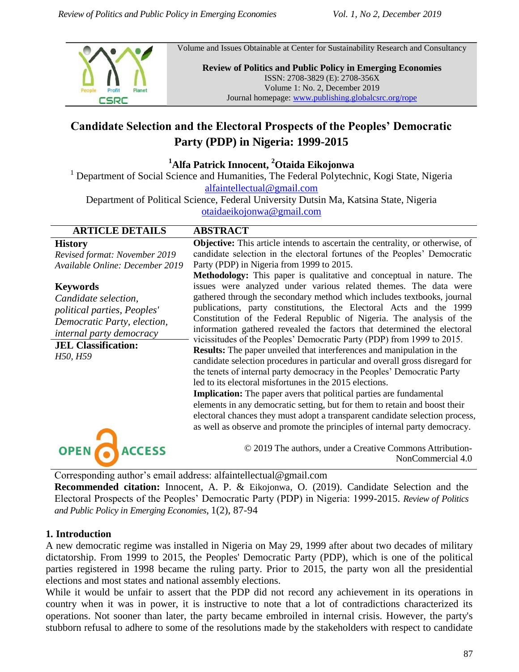

Volume and Issues Obtainable at Center for Sustainability Research and Consultancy

**Review of Politics and Public Policy in Emerging Economies** ISSN: 2708-3829 (E): 2708-356X Volume 1: No. 2, December 2019 Journal homepage: [www.publishing.globalcsrc.org/rope](http://www.publishing.globalcsrc.org/rope)

# **Candidate Selection and the Electoral Prospects of the Peoples' Democratic Party (PDP) in Nigeria: 1999-2015**

**<sup>1</sup>Alfa Patrick Innocent, <sup>2</sup>Otaida Eikojonwa**

<sup>1</sup> Department of Social Science and Humanities, The Federal Polytechnic, Kogi State, Nigeria

[alfaintellectual@gmail.com](mailto:alfaintellectual@gmail.com)

Department of Political Science, Federal University Dutsin Ma, Katsina State, Nigeria [otaidaeikojonwa@gmail.com](mailto:otaidaeikojonwa@gmail.com)

| <b>ARTICLE DETAILS</b>                                                                                                                                                      | <b>ABSTRACT</b>                                                                                                                                                                                                                                                                                                                                                                                                                                                                                                                                                                                                                                                                                                                                                                                                                                                                                                                                                                                                                                                                 |
|-----------------------------------------------------------------------------------------------------------------------------------------------------------------------------|---------------------------------------------------------------------------------------------------------------------------------------------------------------------------------------------------------------------------------------------------------------------------------------------------------------------------------------------------------------------------------------------------------------------------------------------------------------------------------------------------------------------------------------------------------------------------------------------------------------------------------------------------------------------------------------------------------------------------------------------------------------------------------------------------------------------------------------------------------------------------------------------------------------------------------------------------------------------------------------------------------------------------------------------------------------------------------|
| <b>History</b><br>Revised format: November 2019<br>Available Online: December 2019                                                                                          | <b>Objective:</b> This article intends to ascertain the centrality, or otherwise, of<br>candidate selection in the electoral fortunes of the Peoples' Democratic<br>Party (PDP) in Nigeria from 1999 to 2015.<br><b>Methodology:</b> This paper is qualitative and conceptual in nature. The                                                                                                                                                                                                                                                                                                                                                                                                                                                                                                                                                                                                                                                                                                                                                                                    |
| <b>Keywords</b><br>Candidate selection,<br>political parties, Peoples'<br>Democratic Party, election,<br>internal party democracy<br><b>JEL Classification:</b><br>H50, H59 | issues were analyzed under various related themes. The data were<br>gathered through the secondary method which includes textbooks, journal<br>publications, party constitutions, the Electoral Acts and the 1999<br>Constitution of the Federal Republic of Nigeria. The analysis of the<br>information gathered revealed the factors that determined the electoral<br>vicissitudes of the Peoples' Democratic Party (PDP) from 1999 to 2015.<br><b>Results:</b> The paper unveiled that interferences and manipulation in the<br>candidate selection procedures in particular and overall gross disregard for<br>the tenets of internal party democracy in the Peoples' Democratic Party<br>led to its electoral misfortunes in the 2015 elections.<br><b>Implication:</b> The paper avers that political parties are fundamental<br>elements in any democratic setting, but for them to retain and boost their<br>electoral chances they must adopt a transparent candidate selection process,<br>as well as observe and promote the principles of internal party democracy. |
| <b>OPEN</b><br>ACCESS                                                                                                                                                       | © 2019 The authors, under a Creative Commons Attribution-<br>NonCommercial 4.0                                                                                                                                                                                                                                                                                                                                                                                                                                                                                                                                                                                                                                                                                                                                                                                                                                                                                                                                                                                                  |

Corresponding author's email address: [alfaintellectual@gmail.com](mailto:arehman@numl.edu.pk)

**Recommended citation:** Innocent, A. P. & Eikojonwa, O. (2019). Candidate Selection and the Electoral Prospects of the Peoples' Democratic Party (PDP) in Nigeria: 1999-2015. *Review of Politics and Public Policy in Emerging Economies*, 1(2), 87-94

#### **1. Introduction**

A new democratic regime was installed in Nigeria on May 29, 1999 after about two decades of military dictatorship. From 1999 to 2015, the Peoples' Democratic Party (PDP), which is one of the political parties registered in 1998 became the ruling party. Prior to 2015, the party won all the presidential elections and most states and national assembly elections.

While it would be unfair to assert that the PDP did not record any achievement in its operations in country when it was in power, it is instructive to note that a lot of contradictions characterized its operations. Not sooner than later, the party became embroiled in internal crisis. However, the party's stubborn refusal to adhere to some of the resolutions made by the stakeholders with respect to candidate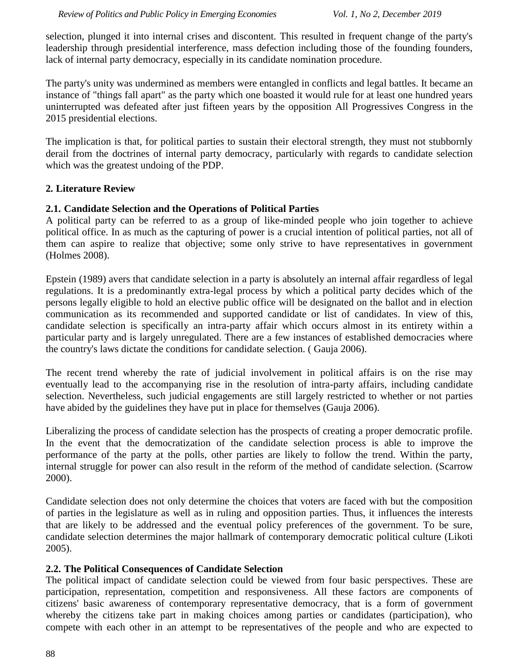selection, plunged it into internal crises and discontent. This resulted in frequent change of the party's leadership through presidential interference, mass defection including those of the founding founders, lack of internal party democracy, especially in its candidate nomination procedure.

The party's unity was undermined as members were entangled in conflicts and legal battles. It became an instance of "things fall apart" as the party which one boasted it would rule for at least one hundred years uninterrupted was defeated after just fifteen years by the opposition All Progressives Congress in the 2015 presidential elections.

The implication is that, for political parties to sustain their electoral strength, they must not stubbornly derail from the doctrines of internal party democracy, particularly with regards to candidate selection which was the greatest undoing of the PDP.

## **2. Literature Review**

## **2.1. Candidate Selection and the Operations of Political Parties**

A political party can be referred to as a group of like-minded people who join together to achieve political office. In as much as the capturing of power is a crucial intention of political parties, not all of them can aspire to realize that objective; some only strive to have representatives in government (Holmes 2008).

Epstein (1989) avers that candidate selection in a party is absolutely an internal affair regardless of legal regulations. It is a predominantly extra-legal process by which a political party decides which of the persons legally eligible to hold an elective public office will be designated on the ballot and in election communication as its recommended and supported candidate or list of candidates. In view of this, candidate selection is specifically an intra-party affair which occurs almost in its entirety within a particular party and is largely unregulated. There are a few instances of established democracies where the country's laws dictate the conditions for candidate selection. ( Gauja 2006).

The recent trend whereby the rate of judicial involvement in political affairs is on the rise may eventually lead to the accompanying rise in the resolution of intra-party affairs, including candidate selection. Nevertheless, such judicial engagements are still largely restricted to whether or not parties have abided by the guidelines they have put in place for themselves (Gauja 2006).

Liberalizing the process of candidate selection has the prospects of creating a proper democratic profile. In the event that the democratization of the candidate selection process is able to improve the performance of the party at the polls, other parties are likely to follow the trend. Within the party, internal struggle for power can also result in the reform of the method of candidate selection. (Scarrow 2000).

Candidate selection does not only determine the choices that voters are faced with but the composition of parties in the legislature as well as in ruling and opposition parties. Thus, it influences the interests that are likely to be addressed and the eventual policy preferences of the government. To be sure, candidate selection determines the major hallmark of contemporary democratic political culture (Likoti 2005).

#### **2.2. The Political Consequences of Candidate Selection**

The political impact of candidate selection could be viewed from four basic perspectives. These are participation, representation, competition and responsiveness. All these factors are components of citizens' basic awareness of contemporary representative democracy, that is a form of government whereby the citizens take part in making choices among parties or candidates (participation), who compete with each other in an attempt to be representatives of the people and who are expected to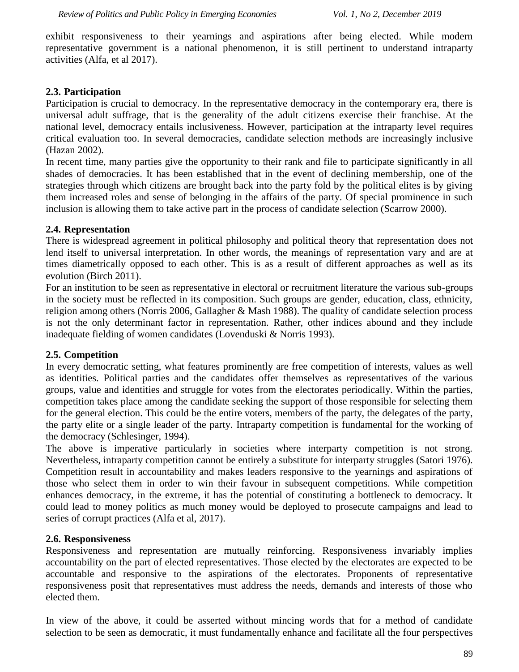exhibit responsiveness to their yearnings and aspirations after being elected. While modern representative government is a national phenomenon, it is still pertinent to understand intraparty activities (Alfa, et al 2017).

# **2.3. Participation**

Participation is crucial to democracy. In the representative democracy in the contemporary era, there is universal adult suffrage, that is the generality of the adult citizens exercise their franchise. At the national level, democracy entails inclusiveness. However, participation at the intraparty level requires critical evaluation too. In several democracies, candidate selection methods are increasingly inclusive (Hazan 2002).

In recent time, many parties give the opportunity to their rank and file to participate significantly in all shades of democracies. It has been established that in the event of declining membership, one of the strategies through which citizens are brought back into the party fold by the political elites is by giving them increased roles and sense of belonging in the affairs of the party. Of special prominence in such inclusion is allowing them to take active part in the process of candidate selection (Scarrow 2000).

## **2.4. Representation**

There is widespread agreement in political philosophy and political theory that representation does not lend itself to universal interpretation. In other words, the meanings of representation vary and are at times diametrically opposed to each other. This is as a result of different approaches as well as its evolution (Birch 2011).

For an institution to be seen as representative in electoral or recruitment literature the various sub-groups in the society must be reflected in its composition. Such groups are gender, education, class, ethnicity, religion among others (Norris 2006, Gallagher & Mash 1988). The quality of candidate selection process is not the only determinant factor in representation. Rather, other indices abound and they include inadequate fielding of women candidates (Lovenduski & Norris 1993).

#### **2.5. Competition**

In every democratic setting, what features prominently are free competition of interests, values as well as identities. Political parties and the candidates offer themselves as representatives of the various groups, value and identities and struggle for votes from the electorates periodically. Within the parties, competition takes place among the candidate seeking the support of those responsible for selecting them for the general election. This could be the entire voters, members of the party, the delegates of the party, the party elite or a single leader of the party. Intraparty competition is fundamental for the working of the democracy (Schlesinger, 1994).

The above is imperative particularly in societies where interparty competition is not strong. Nevertheless, intraparty competition cannot be entirely a substitute for interparty struggles (Satori 1976). Competition result in accountability and makes leaders responsive to the yearnings and aspirations of those who select them in order to win their favour in subsequent competitions. While competition enhances democracy, in the extreme, it has the potential of constituting a bottleneck to democracy. It could lead to money politics as much money would be deployed to prosecute campaigns and lead to series of corrupt practices (Alfa et al, 2017).

#### **2.6. Responsiveness**

Responsiveness and representation are mutually reinforcing. Responsiveness invariably implies accountability on the part of elected representatives. Those elected by the electorates are expected to be accountable and responsive to the aspirations of the electorates. Proponents of representative responsiveness posit that representatives must address the needs, demands and interests of those who elected them.

In view of the above, it could be asserted without mincing words that for a method of candidate selection to be seen as democratic, it must fundamentally enhance and facilitate all the four perspectives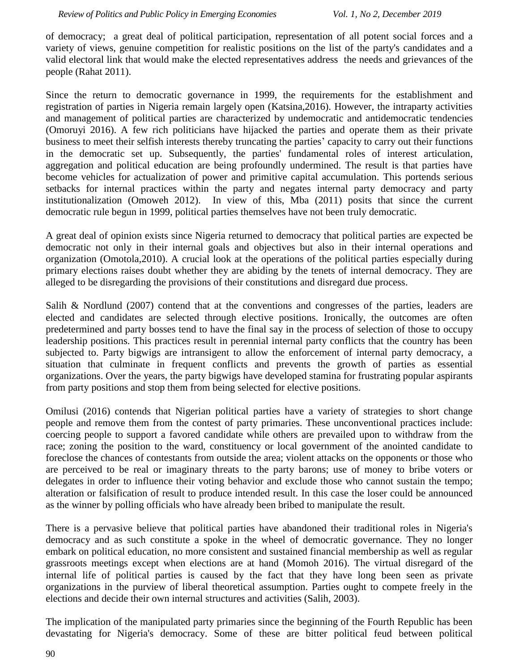of democracy; a great deal of political participation, representation of all potent social forces and a variety of views, genuine competition for realistic positions on the list of the party's candidates and a valid electoral link that would make the elected representatives address the needs and grievances of the people (Rahat 2011).

Since the return to democratic governance in 1999, the requirements for the establishment and registration of parties in Nigeria remain largely open (Katsina,2016). However, the intraparty activities and management of political parties are characterized by undemocratic and antidemocratic tendencies (Omoruyi 2016). A few rich politicians have hijacked the parties and operate them as their private business to meet their selfish interests thereby truncating the parties' capacity to carry out their functions in the democratic set up. Subsequently, the parties' fundamental roles of interest articulation, aggregation and political education are being profoundly undermined. The result is that parties have become vehicles for actualization of power and primitive capital accumulation. This portends serious setbacks for internal practices within the party and negates internal party democracy and party institutionalization (Omoweh 2012). In view of this, Mba (2011) posits that since the current democratic rule begun in 1999, political parties themselves have not been truly democratic.

A great deal of opinion exists since Nigeria returned to democracy that political parties are expected be democratic not only in their internal goals and objectives but also in their internal operations and organization (Omotola,2010). A crucial look at the operations of the political parties especially during primary elections raises doubt whether they are abiding by the tenets of internal democracy. They are alleged to be disregarding the provisions of their constitutions and disregard due process.

Salih & Nordlund (2007) contend that at the conventions and congresses of the parties, leaders are elected and candidates are selected through elective positions. Ironically, the outcomes are often predetermined and party bosses tend to have the final say in the process of selection of those to occupy leadership positions. This practices result in perennial internal party conflicts that the country has been subjected to. Party bigwigs are intransigent to allow the enforcement of internal party democracy, a situation that culminate in frequent conflicts and prevents the growth of parties as essential organizations. Over the years, the party bigwigs have developed stamina for frustrating popular aspirants from party positions and stop them from being selected for elective positions.

Omilusi (2016) contends that Nigerian political parties have a variety of strategies to short change people and remove them from the contest of party primaries. These unconventional practices include: coercing people to support a favored candidate while others are prevailed upon to withdraw from the race; zoning the position to the ward, constituency or local government of the anointed candidate to foreclose the chances of contestants from outside the area; violent attacks on the opponents or those who are perceived to be real or imaginary threats to the party barons; use of money to bribe voters or delegates in order to influence their voting behavior and exclude those who cannot sustain the tempo; alteration or falsification of result to produce intended result. In this case the loser could be announced as the winner by polling officials who have already been bribed to manipulate the result.

There is a pervasive believe that political parties have abandoned their traditional roles in Nigeria's democracy and as such constitute a spoke in the wheel of democratic governance. They no longer embark on political education, no more consistent and sustained financial membership as well as regular grassroots meetings except when elections are at hand (Momoh 2016). The virtual disregard of the internal life of political parties is caused by the fact that they have long been seen as private organizations in the purview of liberal theoretical assumption. Parties ought to compete freely in the elections and decide their own internal structures and activities (Salih, 2003).

The implication of the manipulated party primaries since the beginning of the Fourth Republic has been devastating for Nigeria's democracy. Some of these are bitter political feud between political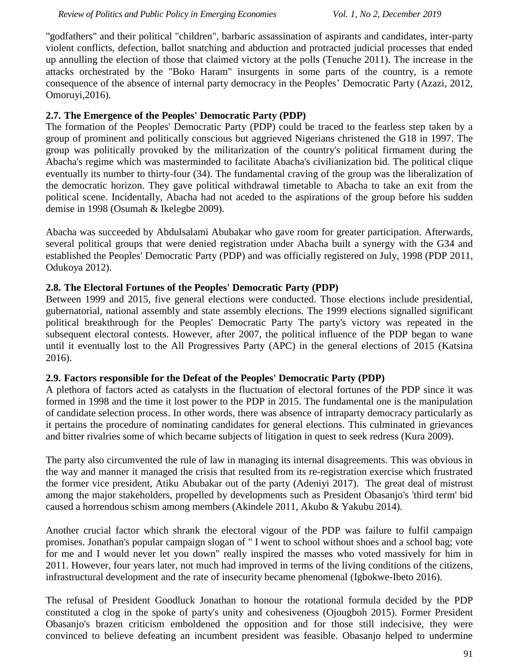"godfathers" and their political "children", barbaric assassination of aspirants and candidates, inter-party violent conflicts, defection, ballot snatching and abduction and protracted judicial processes that ended up annulling the election of those that claimed victory at the polls (Tenuche 2011). The increase in the attacks orchestrated by the "Boko Haram" insurgents in some parts of the country, is a remote consequence of the absence of internal party democracy in the Peoples' Democratic Party (Azazi, 2012, Omoruyi,2016).

# **2.7. The Emergence of the Peoples' Democratic Party (PDP)**

The formation of the Peoples' Democratic Party (PDP) could be traced to the fearless step taken by a group of prominent and politically conscious but aggrieved Nigerians christened the G18 in 1997. The group was politically provoked by the militarization of the country's political firmament during the Abacha's regime which was masterminded to facilitate Abacha's civilianization bid. The political clique eventually its number to thirty-four (34). The fundamental craving of the group was the liberalization of the democratic horizon. They gave political withdrawal timetable to Abacha to take an exit from the political scene. Incidentally, Abacha had not aceded to the aspirations of the group before his sudden demise in 1998 (Osumah & Ikelegbe 2009).

Abacha was succeeded by Abdulsalami Abubakar who gave room for greater participation. Afterwards, several political groups that were denied registration under Abacha built a synergy with the G34 and established the Peoples' Democratic Party (PDP) and was officially registered on July, 1998 (PDP 2011, Odukoya 2012).

# **2.8. The Electoral Fortunes of the Peoples' Democratic Party (PDP)**

Between 1999 and 2015, five general elections were conducted. Those elections include presidential, gubernatorial, national assembly and state assembly elections. The 1999 elections signalled significant political breakthrough for the Peoples' Democratic Party The party's victory was repeated in the subsequent electoral contests. However, after 2007, the political influence of the PDP began to wane until it eventually lost to the All Progressives Party (APC) in the general elections of 2015 (Katsina 2016).

# **2.9. Factors responsible for the Defeat of the Peoples' Democratic Party (PDP)**

A plethora of factors acted as catalysts in the fluctuation of electoral fortunes of the PDP since it was formed in 1998 and the time it lost power to the PDP in 2015. The fundamental one is the manipulation of candidate selection process. In other words, there was absence of intraparty democracy particularly as it pertains the procedure of nominating candidates for general elections. This culminated in grievances and bitter rivalries some of which became subjects of litigation in quest to seek redress (Kura 2009).

The party also circumvented the rule of law in managing its internal disagreements. This was obvious in the way and manner it managed the crisis that resulted from its re-registration exercise which frustrated the former vice president, Atiku Abubakar out of the party (Adeniyi 2017). The great deal of mistrust among the major stakeholders, propelled by developments such as President Obasanjo's 'third term' bid caused a horrendous schism among members (Akindele 2011, Akubo & Yakubu 2014).

Another crucial factor which shrank the electoral vigour of the PDP was failure to fulfil campaign promises. Jonathan's popular campaign slogan of " I went to school without shoes and a school bag; vote for me and I would never let you down" really inspired the masses who voted massively for him in 2011. However, four years later, not much had improved in terms of the living conditions of the citizens, infrastructural development and the rate of insecurity became phenomenal (Igbokwe-Ibeto 2016).

The refusal of President Goodluck Jonathan to honour the rotational formula decided by the PDP constituted a clog in the spoke of party's unity and cohesiveness (Ojougboh 2015). Former President Obasanjo's brazen criticism emboldened the opposition and for those still indecisive, they were convinced to believe defeating an incumbent president was feasible. Obasanjo helped to undermine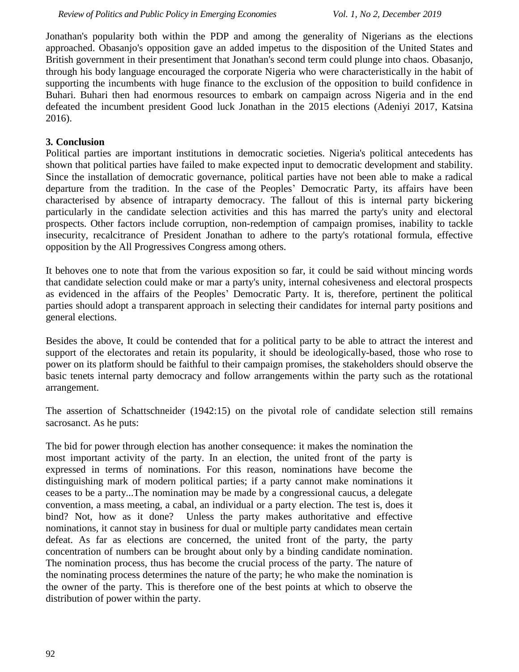Jonathan's popularity both within the PDP and among the generality of Nigerians as the elections approached. Obasanjo's opposition gave an added impetus to the disposition of the United States and British government in their presentiment that Jonathan's second term could plunge into chaos. Obasanjo, through his body language encouraged the corporate Nigeria who were characteristically in the habit of supporting the incumbents with huge finance to the exclusion of the opposition to build confidence in Buhari. Buhari then had enormous resources to embark on campaign across Nigeria and in the end defeated the incumbent president Good luck Jonathan in the 2015 elections (Adeniyi 2017, Katsina 2016).

### **3. Conclusion**

Political parties are important institutions in democratic societies. Nigeria's political antecedents has shown that political parties have failed to make expected input to democratic development and stability. Since the installation of democratic governance, political parties have not been able to make a radical departure from the tradition. In the case of the Peoples' Democratic Party, its affairs have been characterised by absence of intraparty democracy. The fallout of this is internal party bickering particularly in the candidate selection activities and this has marred the party's unity and electoral prospects. Other factors include corruption, non-redemption of campaign promises, inability to tackle insecurity, recalcitrance of President Jonathan to adhere to the party's rotational formula, effective opposition by the All Progressives Congress among others.

It behoves one to note that from the various exposition so far, it could be said without mincing words that candidate selection could make or mar a party's unity, internal cohesiveness and electoral prospects as evidenced in the affairs of the Peoples' Democratic Party. It is, therefore, pertinent the political parties should adopt a transparent approach in selecting their candidates for internal party positions and general elections.

Besides the above, It could be contended that for a political party to be able to attract the interest and support of the electorates and retain its popularity, it should be ideologically-based, those who rose to power on its platform should be faithful to their campaign promises, the stakeholders should observe the basic tenets internal party democracy and follow arrangements within the party such as the rotational arrangement.

The assertion of Schattschneider (1942:15) on the pivotal role of candidate selection still remains sacrosanct. As he puts:

The bid for power through election has another consequence: it makes the nomination the most important activity of the party. In an election, the united front of the party is expressed in terms of nominations. For this reason, nominations have become the distinguishing mark of modern political parties; if a party cannot make nominations it ceases to be a party...The nomination may be made by a congressional caucus, a delegate convention, a mass meeting, a cabal, an individual or a party election. The test is, does it bind? Not, how as it done? Unless the party makes authoritative and effective nominations, it cannot stay in business for dual or multiple party candidates mean certain defeat. As far as elections are concerned, the united front of the party, the party concentration of numbers can be brought about only by a binding candidate nomination. The nomination process, thus has become the crucial process of the party. The nature of the nominating process determines the nature of the party; he who make the nomination is the owner of the party. This is therefore one of the best points at which to observe the distribution of power within the party.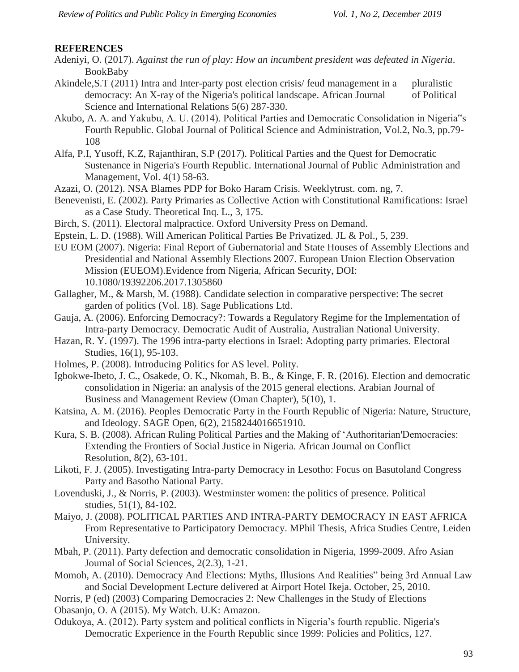## **REFERENCES**

- Adeniyi, O. (2017). *Against the run of play: How an incumbent president was defeated in Nigeria*. BookBaby
- Akindele,S.T (2011) Intra and Inter-party post election crisis/ feud management in a pluralistic democracy: An X-ray of the Nigeria's political landscape. African Journal of Political Science and International Relations 5(6) 287-330.
- Akubo, A. A. and Yakubu, A. U. (2014). Political Parties and Democratic Consolidation in Nigeria"s Fourth Republic. Global Journal of Political Science and Administration, Vol.2, No.3, pp.79- 108
- Alfa, P.I, Yusoff, K.Z, Rajanthiran, S.P (2017). Political Parties and the Quest for Democratic Sustenance in Nigeria's Fourth Republic. International Journal of Public Administration and Management, Vol. 4(1) 58-63.
- Azazi, O. (2012). NSA Blames PDP for Boko Haram Crisis. Weeklytrust. com. ng, 7.
- Benevenisti, E. (2002). Party Primaries as Collective Action with Constitutional Ramifications: Israel as a Case Study. Theoretical Inq. L., 3, 175.
- Birch, S. (2011). Electoral malpractice. Oxford University Press on Demand.
- Epstein, L. D. (1988). Will American Political Parties Be Privatized. JL & Pol., 5, 239.
- EU EOM (2007). Nigeria: Final Report of Gubernatorial and State Houses of Assembly Elections and Presidential and National Assembly Elections 2007. European Union Election Observation Mission (EUEOM).Evidence from Nigeria, African Security, DOI: 10.1080/19392206.2017.1305860
- Gallagher, M., & Marsh, M. (1988). Candidate selection in comparative perspective: The secret garden of politics (Vol. 18). Sage Publications Ltd.
- Gauja, A. (2006). Enforcing Democracy?: Towards a Regulatory Regime for the Implementation of Intra-party Democracy. Democratic Audit of Australia, Australian National University.
- Hazan, R. Y. (1997). The 1996 intra-party elections in Israel: Adopting party primaries. Electoral Studies, 16(1), 95-103.
- Holmes, P. (2008). Introducing Politics for AS level. Polity.
- Igbokwe-Ibeto, J. C., Osakede, O. K., Nkomah, B. B., & Kinge, F. R. (2016). Election and democratic consolidation in Nigeria: an analysis of the 2015 general elections. Arabian Journal of Business and Management Review (Oman Chapter), 5(10), 1.
- Katsina, A. M. (2016). Peoples Democratic Party in the Fourth Republic of Nigeria: Nature, Structure, and Ideology. SAGE Open, 6(2), 2158244016651910.
- Kura, S. B. (2008). African Ruling Political Parties and the Making of 'Authoritarian'Democracies: Extending the Frontiers of Social Justice in Nigeria. African Journal on Conflict Resolution, 8(2), 63-101.
- Likoti, F. J. (2005). Investigating Intra-party Democracy in Lesotho: Focus on Basutoland Congress Party and Basotho National Party.
- Lovenduski, J., & Norris, P. (2003). Westminster women: the politics of presence. Political studies, 51(1), 84-102.
- Maiyo, J. (2008). POLITICAL PARTIES AND INTRA-PARTY DEMOCRACY IN EAST AFRICA From Representative to Participatory Democracy. MPhil Thesis, Africa Studies Centre, Leiden University.
- Mbah, P. (2011). Party defection and democratic consolidation in Nigeria, 1999-2009. Afro Asian Journal of Social Sciences, 2(2.3), 1-21.
- Momoh, A. (2010). Democracy And Elections: Myths, Illusions And Realities" being 3rd Annual Law and Social Development Lecture delivered at Airport Hotel Ikeja. October, 25, 2010.
- Norris, P (ed) (2003) Comparing Democracies 2: New Challenges in the Study of Elections
- Obasanjo, O. A (2015). My Watch. U.K: Amazon.
- Odukoya, A. (2012). Party system and political conflicts in Nigeria's fourth republic. Nigeria's Democratic Experience in the Fourth Republic since 1999: Policies and Politics, 127.